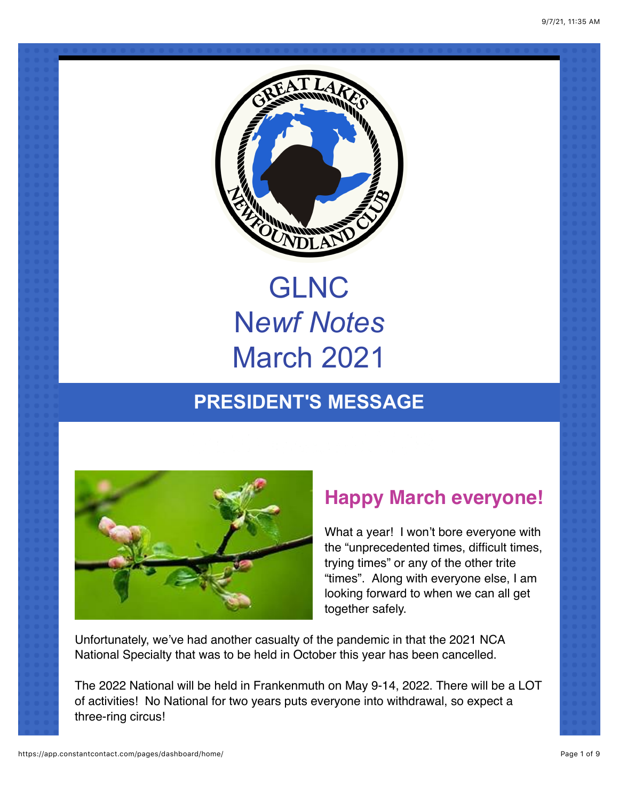

# GLNC N*ewf Notes* March 2021

# **PRESIDENT'S MESSAGE**



### **Happy March everyone!**

What a year! I won't bore everyone with the "unprecedented times, difficult times, trying times" or any of the other trite "times". Along with everyone else, I am looking forward to when we can all get together safely.

Unfortunately, we've had another casualty of the pandemic in that the 2021 NCA National Specialty that was to be held in October this year has been cancelled.

The 2022 National will be held in Frankenmuth on May 9-14, 2022. There will be a LOT of activities! No National for two years puts everyone into withdrawal, so expect a three-ring circus!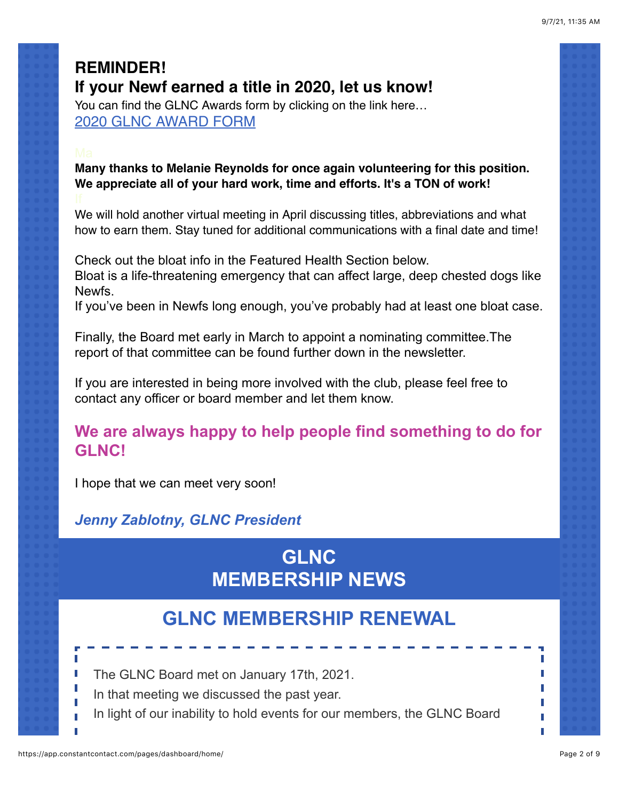### **REMINDER! If your Newf earned a title in 2020, let us know!**

You can find the GLNC Awards form by clicking on the link here… [2020 GLNC AWARD FORM](https://a2055b35-1de4-4fc2-aba6-0e9acef3317c.filesusr.com/ugd/14aa96_9424356b13a4479abc4b53e2b9af8f5d.pdf)

**Many thanks to Melanie Reynolds for once again volunteering for this position. We appreciate all of your hard work, time and efforts. It's a TON of work!**

We will hold another virtual meeting in April discussing titles, abbreviations and what how to earn them. Stay tuned for additional communications with a final date and time!

Check out the bloat info in the Featured Health Section below. Bloat is a life-threatening emergency that can affect large, deep chested dogs like Newfs.

If you've been in Newfs long enough, you've probably had at least one bloat case.

Finally, the Board met early in March to appoint a nominating committee.The report of that committee can be found further down in the newsletter.

If you are interested in being more involved with the club, please feel free to contact any officer or board member and let them know.

### **We are always happy to help people find something to do for GLNC!**

I hope that we can meet very soon!

### *Jenny Zablotny, GLNC President*

# **GLNC MEMBERSHIP NEWS**

### **GLNC MEMBERSHIP RENEWAL**

The GLNC Board met on January 17th, 2021.

- In that meeting we discussed the past year.
- In light of our inability to hold events for our members, the GLNC Board

п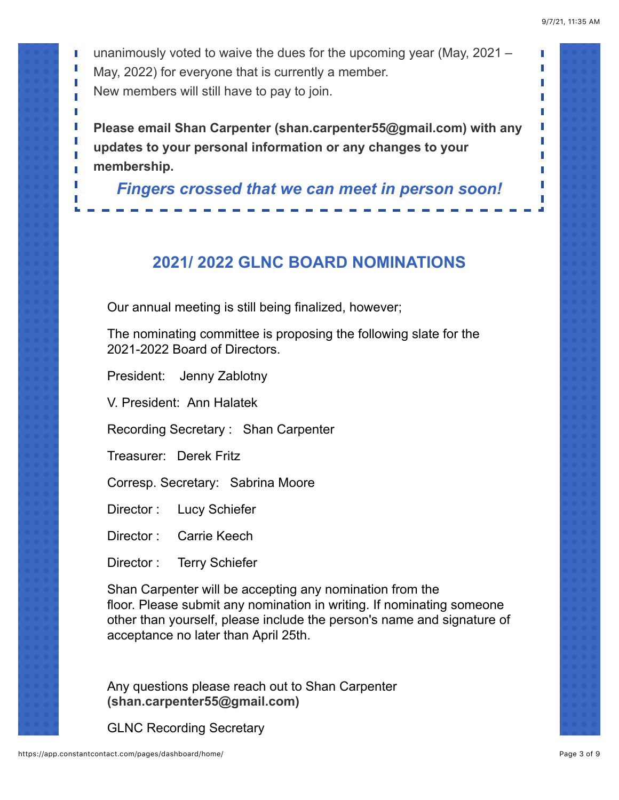П

П

unanimously voted to waive the dues for the upcoming year (May, 2021 – May, 2022) for everyone that is currently a member. New members will still have to pay to join.

**Please email Shan Carpenter (shan.carpenter55@gmail.com) with any updates to your personal information or any changes to your membership.**

*Fingers crossed that we can meet in person soon!*

### **2021/ 2022 GLNC BOARD NOMINATIONS**

Our annual meeting is still being finalized, however;

The nominating committee is proposing the following slate for the 2021-2022 Board of Directors.

President: Jenny Zablotny

ī

V. President: Ann Halatek

Recording Secretary : Shan Carpenter

Treasurer: Derek Fritz

Corresp. Secretary: Sabrina Moore

Director : Lucy Schiefer

Director : Carrie Keech

Director : Terry Schiefer

Shan Carpenter will be accepting any nomination from the floor. Please submit any nomination in writing. If nominating someone other than yourself, please include the person's name and signature of acceptance no later than April 25th.

Any questions please reach out to Shan Carpenter **(shan.carpenter55@gmail.com)**

GLNC Recording Secretary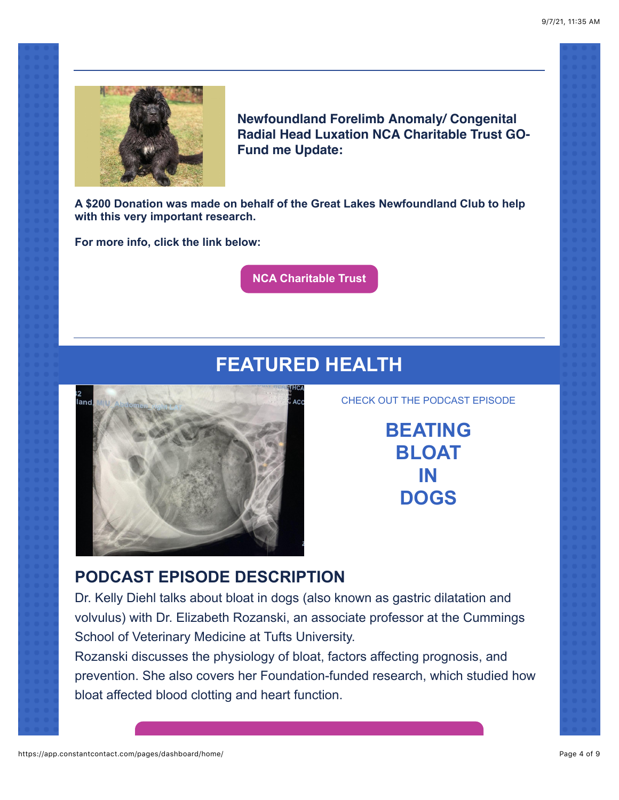

**Newfoundland Forelimb Anomaly/ Congenital Radial Head Luxation NCA Charitable Trust GO-Fund me Update:**

**A \$200 Donation was made on behalf of the Great Lakes Newfoundland Club to help with this very important research.**

**For more info, click the link below:**

**[NCA Charitable Trust](https://www.ncacharities.org/)**

# **FEATURED HEALTH**



CHECK OUT THE PODCAST EPISODE

**BEATING BLOAT IN DOGS**

### **PODCAST EPISODE DESCRIPTION**

Dr. Kelly Diehl talks about bloat in dogs (also known as gastric dilatation and volvulus) with Dr. Elizabeth Rozanski, an associate professor at the Cummings School of Veterinary Medicine at Tufts University.

Rozanski discusses the physiology of bloat, factors affecting prognosis, and prevention. She also covers her Foundation-funded research, which studied how bloat affected blood clotting and heart function.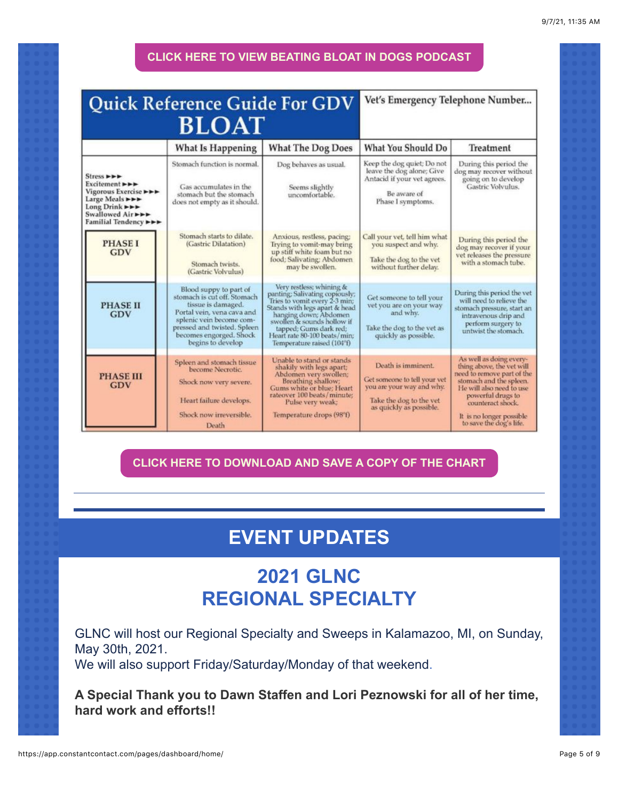### **[CLICK HERE TO VIEW BEATING BLOAT IN DOGS PODCAST](https://open.spotify.com/episode/60Gz7bILWG9JIaPg8DwQ5a?si=JrFee_1oSQeLaSri1gUDzQ&utm_source=copy-link&nd=1)**

### Quick Reference Guide For GDV Vet's Emergency Telephone Number... **BLOAT What Is Happening What The Dog Does** What You Should Do Treatment Keep the dog quiet; Do not Stomach function is normal. Dog behaves as usual. During this period the leave the dog alone; Give dog may recover without<br>going on to develop Stress **PPP** Antacid if your vet agrees. Excitement >>> Gas accumulates in the Seems slightly<br>uncomfortable. Gastric Volvulus. Vigorous Exercise **>>>** Be aware of stomach but the stomach Large Meals ►►► Phase I symptoms. does not empty as it should. Long Drink ►►► Swallowed Air ► ► ►<br>Familial Tendency ► ► Anxious, restless, pacing; Stomach starts to dilate. Call your vet, tell him what During this period the **PHASE I** (Gastric Dilatation) Trying to vomit-may bring you suspect and why. dog may recover if your GDV up stiff white foam but no vet releases the pressure food; Salivating; Abdomen Take the dog to the vet Stomach twists. with a stomach tube. without further delay. may be swollen. (Gastric Volvulus) Very restless; whining &<br>panting: Salivating copiously;<br>Tries to vomit every 2-3 min; Blood suppy to part of<br>stomach is cut off. Stomach During this period the vet Get someone to tell your will need to relieve the tissue is damaged. **PHASE II** Stands with legs apart & head<br>hanging down; Abdomen<br>swollen & sounds hollow if<br>tapped; Gums dark red;<br>Heart rate 80-100 beats/min; vet you are on your way stomach pressure, start an Portal vein, vena cava and GDV and why. intravenous drip and splenic vein become comperform surgery to pressed and twisted. Spleen Take the dog to the vet as untwist the stomach. becomes engorged. Shock quickly as possible. begins to develop Temperature raised (104°f) As well as doing every Unable to stand or stands Spleen and stomach tissue Death is imminent. thing above, the vet will shakily with legs apart; become Necrotic. Abdomen very swollen;<br>Breathing shallow;<br>Gums white or blue; Heart<br>rateover 100 beats/minute; need to remove part of the **PHASE III** Get someone to tell your vet<br>you are your way and why. stomach and the spleen. Shock now very severe. **GDV** He will also need to use powerful drugs to Heart failure develops. Take the dog to the vet<br>as quickly as possible. Pulse very weak; counteract shock. Shock now irreversible. Temperature drops (98°f) It is no longer possible<br>to save the dog's life. Death

### **[CLICK HERE TO DOWNLOAD AND SAVE A COPY OF THE CHART](https://www.google.com/search?q=bloat+chart+for+dogs&client=tablet-android-samsung-nf-rev1&sxsrf=ALeKk02D_fz5TKBb9ChNmFNLYvjjvg1J1A:1616621286451&tbm=isch&source=iu&ictx=1&fir=0fcMlu-t_AfPyM%252CXRU49AiH1cC5pM%252C_&vet=1&usg=AI4_-kQ-HycZV87CQrbieHUYtIlUHRQoaw&sa=X&ved=2ahUKEwiuj4_M78nvAhUICc0KHUjfCl4Q9QF6BAgFEAE&biw=1151&bih=764#imgrc=0fcMlu-t_AfPyM)**

# **EVENT UPDATES**

### **2021 GLNC REGIONAL SPECIALTY**

GLNC will host our Regional Specialty and Sweeps in Kalamazoo, MI, on Sunday, May 30th, 2021.

We will also support Friday/Saturday/Monday of that weekend.

**A Special Thank you to Dawn Staffen and Lori Peznowski for all of her time, hard work and efforts!!**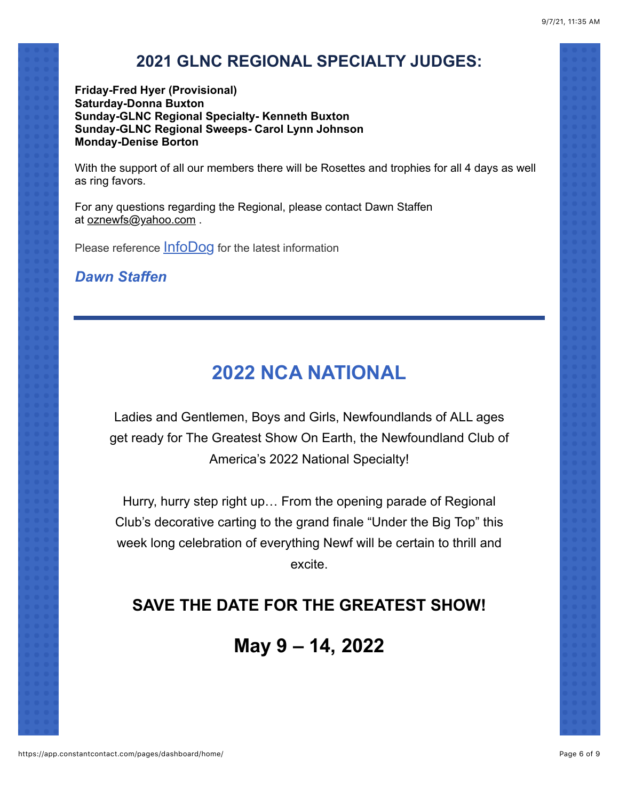### **2021 GLNC REGIONAL SPECIALTY JUDGES:**

**Friday-Fred Hyer (Provisional) Saturday-Donna Buxton Sunday-GLNC Regional Specialty- Kenneth Buxton Sunday-GLNC Regional Sweeps- Carol Lynn Johnson Monday-Denise Borton**

With the support of all our members there will be Rosettes and trophies for all 4 days as well as ring favors.

For any questions regarding the Regional, please contact Dawn Staffen at [oznewfs@yahoo.com](http://oznewfs@yahoo.com/) .

Please reference **[InfoDog](https://www.infodog.com/)** for the latest information

*Dawn Staffen*

# **2022 NCA NATIONAL**

Ladies and Gentlemen, Boys and Girls, Newfoundlands of ALL ages get ready for The Greatest Show On Earth, the Newfoundland Club of America's 2022 National Specialty!

Hurry, hurry step right up… From the opening parade of Regional Club's decorative carting to the grand finale "Under the Big Top" this week long celebration of everything Newf will be certain to thrill and excite.

### **SAVE THE DATE FOR THE GREATEST SHOW!**

## **May 9 – 14, 2022**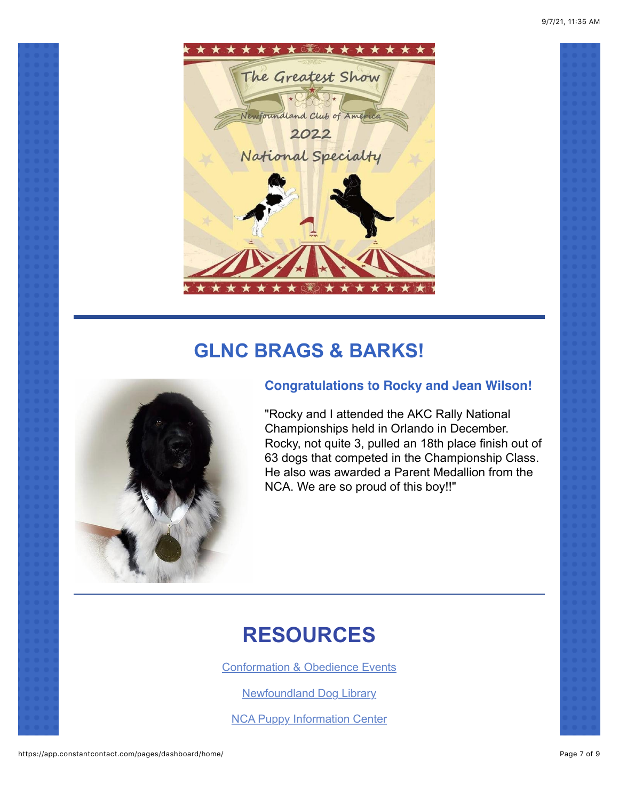

# **GLNC BRAGS & BARKS!**



### **Congratulations to Rocky and Jean Wilson!**

"Rocky and I attended the AKC Rally National Championships held in Orlando in December. Rocky, not quite 3, pulled an 18th place finish out of 63 dogs that competed in the Championship Class. He also was awarded a Parent Medallion from the NCA. We are so proud of this boy!!"

# **RESOURCES**

[Conformation & Obedience Events](https://infodog.com/default.htm?_p=Y)

[Newfoundland Dog Library](https://www.newfbooks.org/)

[NCA Puppy Information Center](https://www.newfpuppy.com/)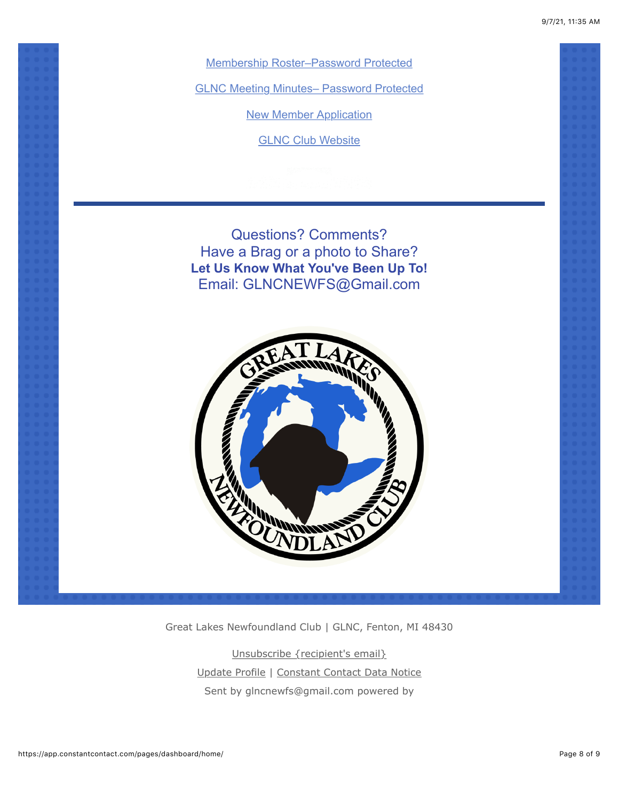9/7/21, 11:35 AM

[Membership Roster–Password Protected](https://www.glnewfclub.org/members-only)

[GLNC Meeting Minutes– Password Protected](https://www.glnewfclub.org/members-only)

[New Member Application](https://www.glnewfclub.org/become-a-member)

**[GLNC Club Website](https://www.glnewfclub.org/)** 

Questions? Comments? Have a Brag or a photo to Share? **Let Us Know What You've Been Up To!** Email: GLNCNEWFS@Gmail.com



Great Lakes Newfoundland Club | GLNC, Fenton, MI 48430

[Unsubscribe {recipient's email}](https://app.constantcontact.com/pages/dashboard/home/#) [Update Profile](https://app.constantcontact.com/pages/dashboard/home/#) | [Constant Contact Data Notice](https://www.constantcontact.com/legal/customer-contact-data-notice) Sent by [glncnewfs@gmail.com](mailto:glncnewfs@gmail.com) powered by